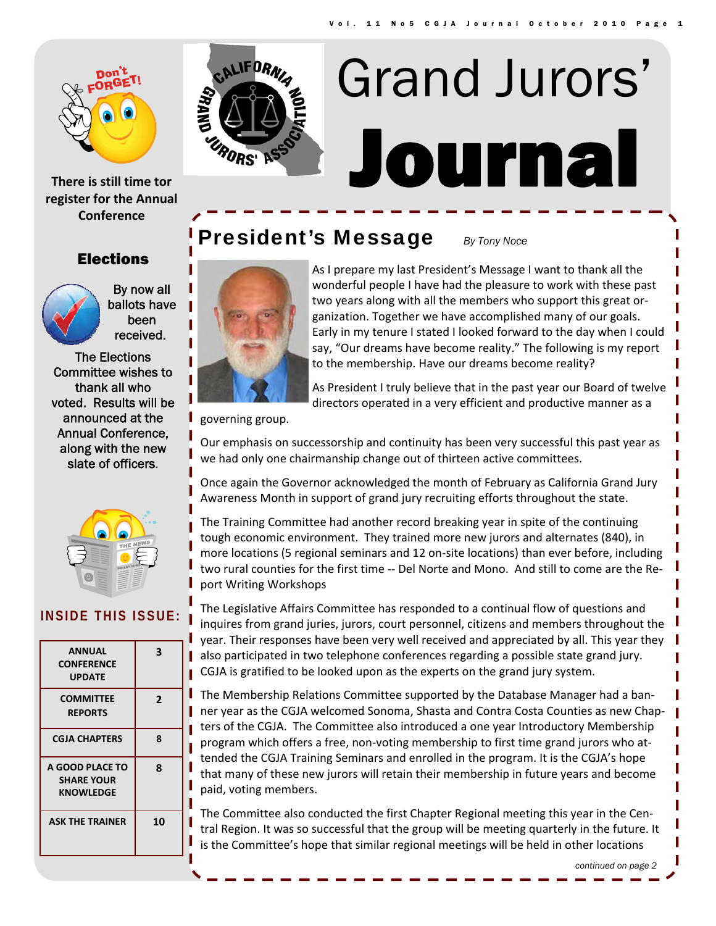

**There is still time tor register for the Annual Conference**

**WARK** RORS'

# Journal Grand Jurors'

### **President's Message** *By Tony Noce*

As I prepare my last President's Message I want to thank all the wonderful people I have had the pleasure to work with these past two years along with all the members who support this great or‐ ganization. Together we have accomplished many of our goals. Early in my tenure I stated I looked forward to the day when I could say, "Our dreams have become reality." The following is my report to the membership. Have our dreams become reality?

As President I truly believe that in the past year our Board of twelve directors operated in a very efficient and productive manner as a

governing group.

Our emphasis on successorship and continuity has been very successful this past year as we had only one chairmanship change out of thirteen active committees.

Once again the Governor acknowledged the month of February as California Grand Jury Awareness Month in support of grand jury recruiting efforts throughout the state.

The Training Committee had another record breaking year in spite of the continuing tough economic environment. They trained more new jurors and alternates (840), in more locations (5 regional seminars and 12 on‐site locations) than ever before, including two rural counties for the first time ‐‐ Del Norte and Mono. And still to come are the Re‐ port Writing Workshops

The Legislative Affairs Committee has responded to a continual flow of questions and inquires from grand juries, jurors, court personnel, citizens and members throughout the year. Their responses have been very well received and appreciated by all. This year they also participated in two telephone conferences regarding a possible state grand jury. CGJA is gratified to be looked upon as the experts on the grand jury system.

The Membership Relations Committee supported by the Database Manager had a ban‐ ner year as the CGJA welcomed Sonoma, Shasta and Contra Costa Counties as new Chap‐ ters of the CGJA. The Committee also introduced a one year Introductory Membership program which offers a free, non‐voting membership to first time grand jurors who at‐ tended the CGJA Training Seminars and enrolled in the program. It is the CGJA's hope that many of these new jurors will retain their membership in future years and become paid, voting members.

The Committee also conducted the first Chapter Regional meeting this year in the Cen‐ tral Region. It was so successful that the group will be meeting quarterly in the future. It is the Committee's hope that similar regional meetings will be held in other locations

Elections

By now all ballots have been received.

The Elections Committee wishes to thank all who voted. Results will be announced at the Annual Conference, along with the new slate of officers.



#### **INSIDE THIS ISSUE:**

| <b>ANNUAL</b><br><b>CONFERENCE</b><br><b>UPDATE</b> | 3              |
|-----------------------------------------------------|----------------|
| <b>COMMITTEE</b><br><b>REPORTS</b>                  | $\overline{2}$ |
| <b>CGJA CHAPTERS</b>                                | 8              |
| A GOOD PLACE TO<br><b>SHARE YOUR</b><br>KNOWLEDGE   | 8              |
| <b>ASK THE TRAINER</b>                              | 10             |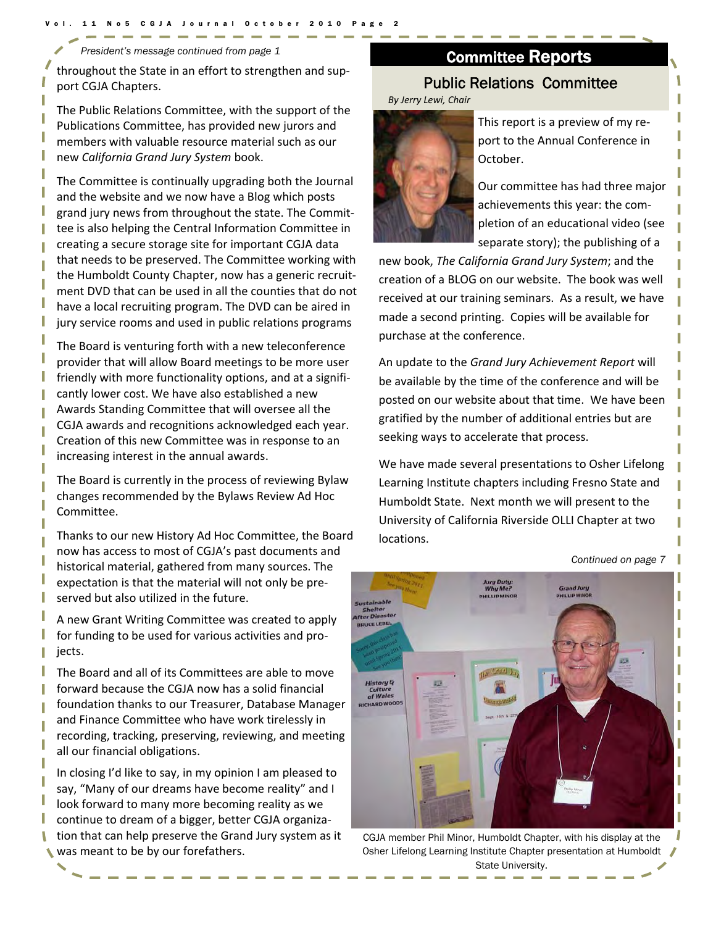*President's message continued from page 1* 

throughout the State in an effort to strengthen and sup‐ port CGJA Chapters.

The Public Relations Committee, with the support of the Publications Committee, has provided new jurors and members with valuable resource material such as our new *California Grand Jury System* book.

The Committee is continually upgrading both the Journal and the website and we now have a Blog which posts grand jury news from throughout the state. The Commit‐ tee is also helping the Central Information Committee in creating a secure storage site for important CGJA data that needs to be preserved. The Committee working with the Humboldt County Chapter, now has a generic recruit‐ ment DVD that can be used in all the counties that do not have a local recruiting program. The DVD can be aired in jury service rooms and used in public relations programs

The Board is venturing forth with a new teleconference provider that will allow Board meetings to be more user friendly with more functionality options, and at a signifi‐ cantly lower cost. We have also established a new Awards Standing Committee that will oversee all the CGJA awards and recognitions acknowledged each year. Creation of this new Committee was in response to an increasing interest in the annual awards.

The Board is currently in the process of reviewing Bylaw changes recommended by the Bylaws Review Ad Hoc Committee.

Thanks to our new History Ad Hoc Committee, the Board now has access to most of CGJA's past documents and historical material, gathered from many sources. The expectation is that the material will not only be pre‐ served but also utilized in the future.

A new Grant Writing Committee was created to apply for funding to be used for various activities and pro‐ jects.

The Board and all of its Committees are able to move forward because the CGJA now has a solid financial foundation thanks to our Treasurer, Database Manager and Finance Committee who have work tirelessly in recording, tracking, preserving, reviewing, and meeting all our financial obligations.

In closing I'd like to say, in my opinion I am pleased to say, "Many of our dreams have become reality" and I look forward to many more becoming reality as we continue to dream of a bigger, better CGJA organiza‐ tion that can help preserve the Grand Jury system as it was meant to be by our forefathers.

## Committee Reports

#### Public Relations Committee

*By Jerry Lewi, Chair*



This report is a preview of my re‐ port to the Annual Conference in October.

Our committee has had three major achievements this year: the com‐ pletion of an educational video (see separate story); the publishing of a

new book, *The California Grand Jury System*; and the creation of a BLOG on our website. The book was well received at our training seminars. As a result, we have made a second printing. Copies will be available for purchase at the conference.

An update to the *Grand Jury Achievement Report* will be available by the time of the conference and will be posted on our website about that time. We have been gratified by the number of additional entries but are seeking ways to accelerate that process.

We have made several presentations to Osher Lifelong Learning Institute chapters including Fresno State and Humboldt State. Next month we will present to the University of California Riverside OLLI Chapter at two locations.

*Continued on page 7* 



CGJA member Phil Minor, Humboldt Chapter, with his display at the Osher Lifelong Learning Institute Chapter presentation at Humboldt State University.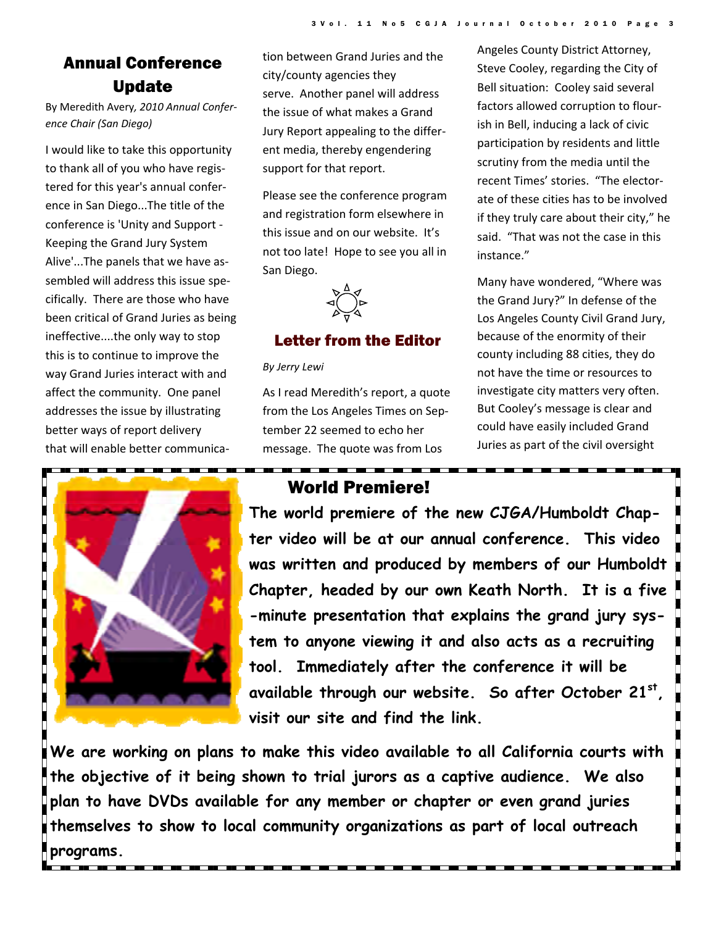### Annual Conference Update

By Meredith Avery*, 2010 Annual Confer‐ ence Chair (San Diego)*

I would like to take this opportunity to thank all of you who have regis‐ tered for this year's annual confer‐ ence in San Diego...The title of the conference is 'Unity and Support ‐ Keeping the Grand Jury System Alive'...The panels that we have as‐ sembled will address this issue spe‐ cifically. There are those who have been critical of Grand Juries as being ineffective....the only way to stop this is to continue to improve the way Grand Juries interact with and affect the community. One panel addresses the issue by illustrating better ways of report delivery that will enable better communica‐



tion between Grand Juries and the city/county agencies they serve. Another panel will address the issue of what makes a Grand Jury Report appealing to the differ‐ ent media, thereby engendering support for that report.

Please see the conference program and registration form elsewhere in this issue and on our website. It's not too late! Hope to see you all in San Diego.

 $\begin{picture}(120,111) \put(100,111){\line(1,0){155}} \put(100,111){\line(1,0){155}} \put(100,111){\line(1,0){155}} \put(100,111){\line(1,0){155}} \put(100,111){\line(1,0){155}} \put(100,111){\line(1,0){155}} \put(100,111){\line(1,0){155}} \put(100,111){\line(1,0){155}} \put(100,111){\line(1,0){155}} \put(100,11$ 

#### Letter from the Editor

*By Jerry Lewi*

As I read Meredith's report, a quote from the Los Angeles Times on Sep‐ tember 22 seemed to echo her message. The quote was from Los

Angeles County District Attorney, Steve Cooley, regarding the City of Bell situation: Cooley said several factors allowed corruption to flour‐ ish in Bell, inducing a lack of civic participation by residents and little scrutiny from the media until the recent Times' stories. "The elector‐ ate of these cities has to be involved if they truly care about their city," he said. "That was not the case in this instance."

Many have wondered, "Where was the Grand Jury?" In defense of the Los Angeles County Civil Grand Jury, because of the enormity of their county including 88 cities, they do not have the time or resources to investigate city matters very often. But Cooley's message is clear and could have easily included Grand Juries as part of the civil oversight

#### World Premiere!

**The world premiere of the new CJGA/Humboldt Chapter video will be at our annual conference. This video was written and produced by members of our Humboldt Chapter, headed by our own Keath North. It is a five -minute presentation that explains the grand jury system to anyone viewing it and also acts as a recruiting tool. Immediately after the conference it will be available through our website. So after October 21st, visit our site and find the link.** 

**We are working on plans to make this video available to all California courts with the objective of it being shown to trial jurors as a captive audience. We also plan to have DVDs available for any member or chapter or even grand juries themselves to show to local community organizations as part of local outreach programs.**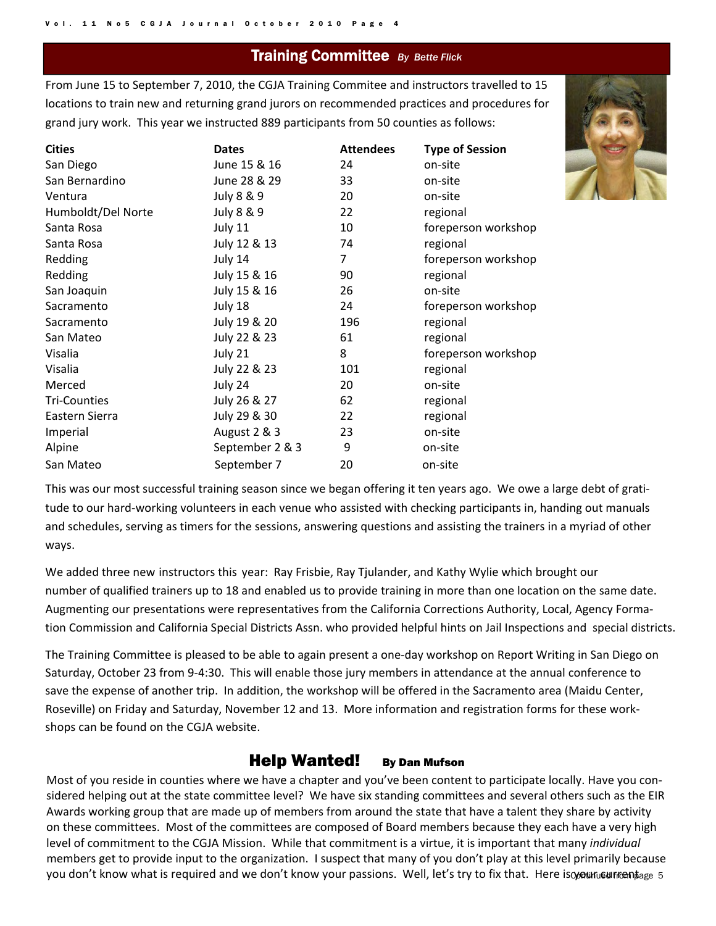#### Training Committee *By Bette Flick*

From June 15 to September 7, 2010, the CGJA Training Commitee and instructors travelled to 15 locations to train new and returning grand jurors on recommended practices and procedures for grand jury work. This year we instructed 889 participants from 50 counties as follows:

| <b>Cities</b>       | <b>Dates</b>    | <b>Attendees</b> | <b>Type of Session</b> |
|---------------------|-----------------|------------------|------------------------|
| San Diego           | June 15 & 16    | 24               | on-site                |
| San Bernardino      | June 28 & 29    | 33               | on-site                |
| Ventura             | July 8 & 9      | 20               | on-site                |
| Humboldt/Del Norte  | July 8 & 9      | 22               | regional               |
| Santa Rosa          | July 11         | 10               | foreperson workshop    |
| Santa Rosa          | July 12 & 13    | 74               | regional               |
| Redding             | July 14         | 7                | foreperson workshop    |
| Redding             | July 15 & 16    | 90               | regional               |
| San Joaquin         | July 15 & 16    | 26               | on-site                |
| Sacramento          | July 18         | 24               | foreperson workshop    |
| Sacramento          | July 19 & 20    | 196              | regional               |
| San Mateo           | July 22 & 23    | 61               | regional               |
| Visalia             | July 21         | 8                | foreperson workshop    |
| Visalia             | July 22 & 23    | 101              | regional               |
| Merced              | July 24         | 20               | on-site                |
| <b>Tri-Counties</b> | July 26 & 27    | 62               | regional               |
| Eastern Sierra      | July 29 & 30    | 22               | regional               |
| Imperial            | August 2 & 3    | 23               | on-site                |
| Alpine              | September 2 & 3 | 9                | on-site                |
| San Mateo           | September 7     | 20               | on-site                |

This was our most successful training season since we began offering it ten years ago. We owe a large debt of gratitude to our hard‐working volunteers in each venue who assisted with checking participants in, handing out manuals and schedules, serving as timers for the sessions, answering questions and assisting the trainers in a myriad of other ways.

We added three new instructors this year: Ray Frisbie, Ray Tjulander, and Kathy Wylie which brought our number of qualified trainers up to 18 and enabled us to provide training in more than one location on the same date. Augmenting our presentations were representatives from the California Corrections Authority, Local, Agency Formation Commission and California Special Districts Assn. who provided helpful hints on Jail Inspections and special districts.

The Training Committee is pleased to be able to again present a one‐day workshop on Report Writing in San Diego on Saturday, October 23 from 9‐4:30. This will enable those jury members in attendance at the annual conference to save the expense of another trip. In addition, the workshop will be offered in the Sacramento area (Maidu Center, Roseville) on Friday and Saturday, November 12 and 13. More information and registration forms for these work‐ shops can be found on the CGJA website.

#### Help Wanted! By Dan Mufson

you don't know what is required and we don't know your passions. Well, let's try to fix that. Here isom unueumentage 5 Most of you reside in counties where we have a chapter and you've been content to participate locally. Have you considered helping out at the state committee level? We have six standing committees and several others such as the EIR Awards working group that are made up of members from around the state that have a talent they share by activity on these committees. Most of the committees are composed of Board members because they each have a very high level of commitment to the CGJA Mission. While that commitment is a virtue, it is important that many *individual* members get to provide input to the organization. I suspect that many of you don't play at this level primarily because

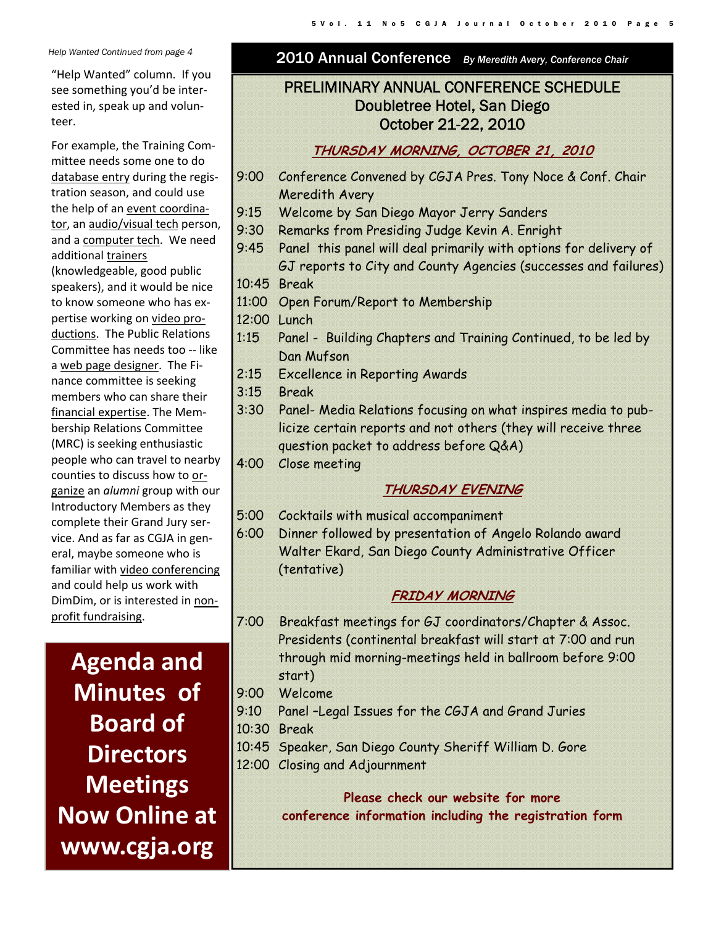"Help Wanted" column. If you see something you'd be inter‐ ested in, speak up and volun‐ teer.

For example, the Training Com‐ mittee needs some one to do database entry during the regis‐ tration season, and could use the help of an event coordina‐ tor, an audio/visual tech person, and a computer tech. We need additional trainers (knowledgeable, good public speakers), and it would be nice to know someone who has ex‐ pertise working on video productions. The Public Relations Committee has needs too ‐‐ like a web page designer. The Fi‐ nance committee is seeking members who can share their financial expertise. The Mem‐ bership Relations Committee (MRC) is seeking enthusiastic people who can travel to nearby counties to discuss how to or‐ ganize an *alumni* group with our Introductory Members as they complete their Grand Jury ser‐ vice. And as far as CGJA in gen‐ eral, maybe someone who is familiar with video conferencing and could help us work with DimDim, or is interested in non‐ profit fundraising.

**Agenda and Minutes** of **Board of Directors Meetings Now Online at www.cgja.org**

#### *Help Wanted Continued from page 4* 2010 Annual Conference *By Meredith Avery, Conference Chair*

#### PRELIMINARY ANNUAL CONFERENCE SCHEDULE Doubletree Hotel, San Diego October 21-22, 2010

#### **THURSDAY MORNING, OCTOBER 21, 2010**

- 9:00 Conference Convened by CGJA Pres. Tony Noce & Conf. Chair Meredith Avery
- 9:15 Welcome by San Diego Mayor Jerry Sanders
- 9:30 Remarks from Presiding Judge Kevin A. Enright
- 9:45 Panel this panel will deal primarily with options for delivery of GJ reports to City and County Agencies (successes and failures) 10:45 Break
- 11:00 Open Forum/Report to Membership
- 12:00 Lunch
- 1:15 Panel Building Chapters and Training Continued, to be led by Dan Mufson
- 2:15 Excellence in Reporting Awards
- 3:15 Break
- 3:30 Panel- Media Relations focusing on what inspires media to publicize certain reports and not others (they will receive three question packet to address before Q&A)
- 4:00 Close meeting

#### **THURSDAY EVENING**

- 5:00 Cocktails with musical accompaniment
- 6:00 Dinner followed by presentation of Angelo Rolando award Walter Ekard, San Diego County Administrative Officer (tentative)

#### **FRIDAY MORNING**

- 7:00 Breakfast meetings for GJ coordinators/Chapter & Assoc. Presidents (continental breakfast will start at 7:00 and run through mid morning-meetings held in ballroom before 9:00 start)
- 9:00 Welcome
- 9:10 Panel –Legal Issues for the CGJA and Grand Juries
- 10:30 Break
- 10:45 Speaker, San Diego County Sheriff William D. Gore
- 12:00 Closing and Adjournment

**Please check our website for more conference information including the registration form**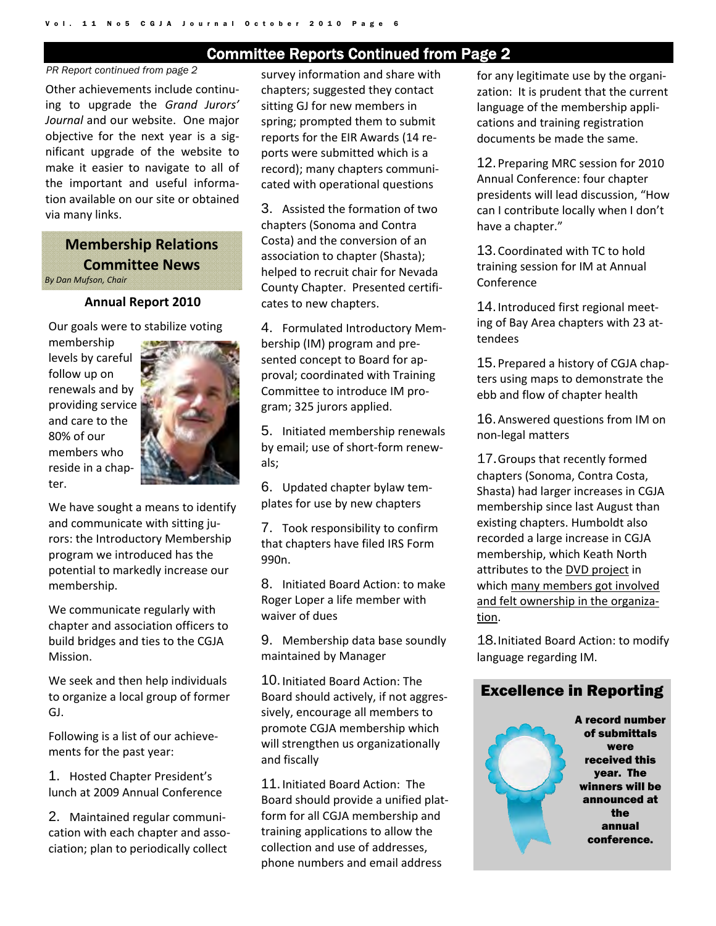#### Committee Reports Continued from Page 2

#### *PR Report continued from page 2*

Other achievements include continu‐ ing to upgrade the *Grand Jurors' Journal* and our website. One major objective for the next year is a sig‐ nificant upgrade of the website to make it easier to navigate to all of the important and useful informa‐ tion available on our site or obtained via many links.

#### **Membership Relations Committee News**

*By Dan Mufson, Chair*

#### **Annual Report 2010**

Our goals were to stabilize voting

membership levels by careful follow up on renewals and by providing service and care to the 80% of our members who reside in a chap‐ ter.



We have sought a means to identify and communicate with sitting jurors: the Introductory Membership program we introduced has the potential to markedly increase our membership.

We communicate regularly with chapter and association officers to build bridges and ties to the CGJA Mission.

We seek and then help individuals to organize a local group of former GJ.

Following is a list of our achieve‐ ments for the past year:

1. Hosted Chapter President's lunch at 2009 Annual Conference

2. Maintained regular communi‐ cation with each chapter and asso‐ ciation; plan to periodically collect

survey information and share with chapters; suggested they contact sitting GJ for new members in spring; prompted them to submit reports for the EIR Awards (14 re‐ ports were submitted which is a record); many chapters communi‐ cated with operational questions

3. Assisted the formation of two chapters (Sonoma and Contra Costa) and the conversion of an association to chapter (Shasta); helped to recruit chair for Nevada County Chapter. Presented certifi‐ cates to new chapters.

4. Formulated Introductory Mem‐ bership (IM) program and pre‐ sented concept to Board for ap‐ proval; coordinated with Training Committee to introduce IM pro‐ gram; 325 jurors applied.

5. Initiated membership renewals by email; use of short‐form renew‐ als;

6. Updated chapter bylaw tem‐ plates for use by new chapters

7. Took responsibility to confirm that chapters have filed IRS Form 990n.

8. Initiated Board Action: to make Roger Loper a life member with waiver of dues

9. Membership data base soundly maintained by Manager

10. Initiated Board Action: The Board should actively, if not aggres‐ sively, encourage all members to promote CGJA membership which will strengthen us organizationally and fiscally

11. Initiated Board Action: The Board should provide a unified plat‐ form for all CGJA membership and training applications to allow the collection and use of addresses, phone numbers and email address

for any legitimate use by the organi‐ zation: It is prudent that the current language of the membership appli‐ cations and training registration documents be made the same.

12. Preparing MRC session for 2010 Annual Conference: four chapter presidents will lead discussion, "How can I contribute locally when I don't have a chapter."

13. Coordinated with TC to hold training session for IM at Annual Conference

14. Introduced first regional meet‐ ing of Bay Area chapters with 23 at‐ tendees

15. Prepared a history of CGJA chap‐ ters using maps to demonstrate the ebb and flow of chapter health

16. Answered questions from IM on non‐legal matters

17. Groups that recently formed chapters (Sonoma, Contra Costa, Shasta) had larger increases in CGJA membership since last August than existing chapters. Humboldt also recorded a large increase in CGJA membership, which Keath North attributes to the DVD project in which many members got involved and felt ownership in the organiza‐ tion.

18. Initiated Board Action: to modify language regarding IM.

#### Excellence in Reporting

A record number of submittals were received this year. The winners will be announced at the annual conference.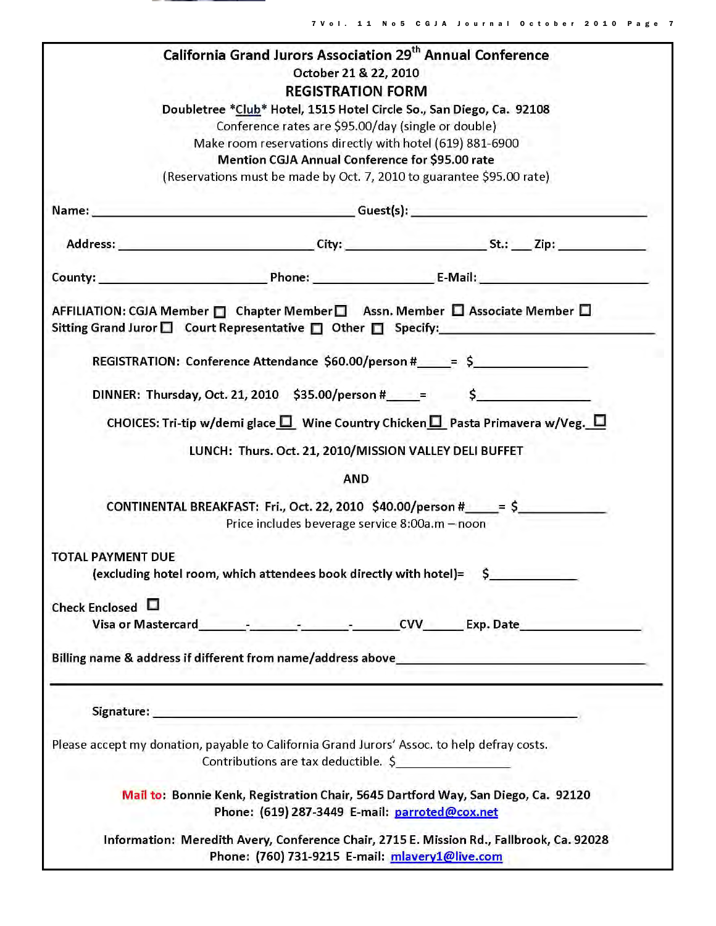

Г

|                                                                                             |                                                                   |                                                     |  | <b>California Grand Jurors Association 29th Annual Conference</b>                                                                                             |  |  |
|---------------------------------------------------------------------------------------------|-------------------------------------------------------------------|-----------------------------------------------------|--|---------------------------------------------------------------------------------------------------------------------------------------------------------------|--|--|
|                                                                                             |                                                                   | October 21 & 22, 2010                               |  |                                                                                                                                                               |  |  |
|                                                                                             |                                                                   | <b>REGISTRATION FORM</b>                            |  |                                                                                                                                                               |  |  |
|                                                                                             |                                                                   | Conference rates are \$95.00/day (single or double) |  | Doubletree *Club* Hotel, 1515 Hotel Circle So., San Diego, Ca. 92108                                                                                          |  |  |
|                                                                                             | Make room reservations directly with hotel (619) 881-6900         |                                                     |  |                                                                                                                                                               |  |  |
|                                                                                             |                                                                   | Mention CGJA Annual Conference for \$95.00 rate     |  |                                                                                                                                                               |  |  |
|                                                                                             |                                                                   |                                                     |  | (Reservations must be made by Oct. 7, 2010 to guarantee \$95.00 rate)                                                                                         |  |  |
|                                                                                             |                                                                   |                                                     |  |                                                                                                                                                               |  |  |
|                                                                                             |                                                                   |                                                     |  |                                                                                                                                                               |  |  |
|                                                                                             |                                                                   |                                                     |  |                                                                                                                                                               |  |  |
|                                                                                             |                                                                   |                                                     |  | AFFILIATION: CGJA Member □ Chapter Member □ Assn. Member □ Associate Member □<br>Sitting Grand Juror $\Box$ Court Representative $\Box$ Other $\Box$ Specify: |  |  |
|                                                                                             |                                                                   |                                                     |  | REGISTRATION: Conference Attendance \$60.00/person #_____= \$________________                                                                                 |  |  |
|                                                                                             |                                                                   |                                                     |  | DINNER: Thursday, Oct. 21, 2010 \$35.00/person #_____= \$_________________________                                                                            |  |  |
|                                                                                             |                                                                   |                                                     |  | CHOICES: Tri-tip w/demi glace $\square$ Wine Country Chicken $\square$ Pasta Primavera w/Veg. $\square$                                                       |  |  |
|                                                                                             | LUNCH: Thurs. Oct. 21, 2010/MISSION VALLEY DELI BUFFET            |                                                     |  |                                                                                                                                                               |  |  |
|                                                                                             |                                                                   | <b>AND</b>                                          |  |                                                                                                                                                               |  |  |
|                                                                                             |                                                                   | Price includes beverage service 8:00a.m - noon      |  | CONTINENTAL BREAKFAST: Fri., Oct. 22, 2010 $$40.00/person # \qquad = $$                                                                                       |  |  |
| <b>TOTAL PAYMENT DUE</b>                                                                    |                                                                   |                                                     |  |                                                                                                                                                               |  |  |
|                                                                                             | (excluding hotel room, which attendees book directly with hotel)= |                                                     |  | $\mathsf{S}$                                                                                                                                                  |  |  |
| Check Enclosed L                                                                            |                                                                   |                                                     |  |                                                                                                                                                               |  |  |
|                                                                                             |                                                                   |                                                     |  | Visa or Mastercard<br>Visa or Mastercard 2008 - 2008 - 2009 - 2010 - 2010 - 2010 - 2010 - 2011 - 2012 - 2013 - 2014 - 2014 - 2014 -                           |  |  |
|                                                                                             |                                                                   |                                                     |  |                                                                                                                                                               |  |  |
|                                                                                             |                                                                   |                                                     |  |                                                                                                                                                               |  |  |
|                                                                                             |                                                                   |                                                     |  |                                                                                                                                                               |  |  |
| Please accept my donation, payable to California Grand Jurors' Assoc. to help defray costs. | Contributions are tax deductible. \$                              |                                                     |  |                                                                                                                                                               |  |  |
|                                                                                             |                                                                   | Phone: (619) 287-3449 E-mail: parroted@cox.net      |  | Mail to: Bonnie Kenk, Registration Chair, 5645 Dartford Way, San Diego, Ca. 92120                                                                             |  |  |
|                                                                                             |                                                                   | Phone: (760) 731-9215 E-mail: mlavery1@live.com     |  | Information: Meredith Avery, Conference Chair, 2715 E. Mission Rd., Fallbrook, Ca. 92028                                                                      |  |  |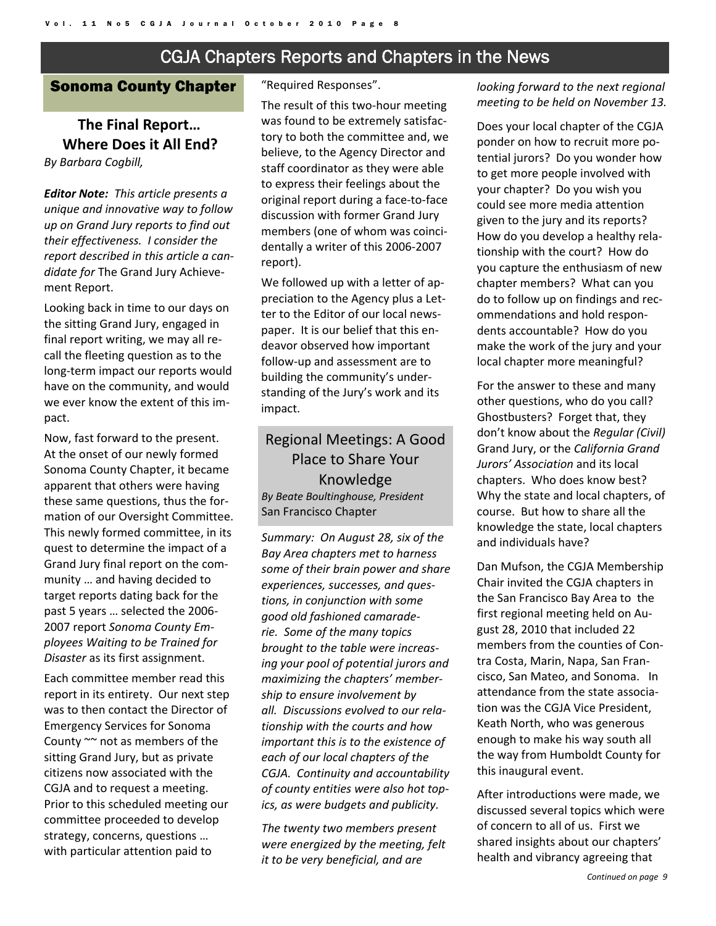#### CGJA Chapters Reports and Chapters in the News

#### Sonoma County Chapter

#### **The Final Report… Where Does it All End?**

*By Barbara Cogbill,* 

*Editor Note: This article presents a unique and innovative way to follow up on Grand Jury reports to find out their effectiveness. I consider the report described in this article a can‐ didate for* The Grand Jury Achieve‐ ment Report.

Looking back in time to our days on the sitting Grand Jury, engaged in final report writing, we may all re‐ call the fleeting question as to the long‐term impact our reports would have on the community, and would we ever know the extent of this im‐ pact.

Now, fast forward to the present. At the onset of our newly formed Sonoma County Chapter, it became apparent that others were having these same questions, thus the for‐ mation of our Oversight Committee. This newly formed committee, in its quest to determine the impact of a Grand Jury final report on the com‐ munity … and having decided to target reports dating back for the past 5 years … selected the 2006‐ 2007 report *Sonoma County Em‐ ployees Waiting to be Trained for Disaster* as its first assignment.

Each committee member read this report in its entirety. Our next step was to then contact the Director of Emergency Services for Sonoma County ~~ not as members of the sitting Grand Jury, but as private citizens now associated with the CGJA and to request a meeting. Prior to this scheduled meeting our committee proceeded to develop strategy, concerns, questions … with particular attention paid to

"Required Responses".

The result of this two-hour meeting was found to be extremely satisfac‐ tory to both the committee and, we believe, to the Agency Director and staff coordinator as they were able to express their feelings about the original report during a face‐to‐face discussion with former Grand Jury members (one of whom was coinci‐ dentally a writer of this 2006‐2007 report).

We followed up with a letter of appreciation to the Agency plus a Let‐ ter to the Editor of our local news‐ paper. It is our belief that this en‐ deavor observed how important follow‐up and assessment are to building the community's under‐ standing of the Jury's work and its impact.

#### Regional Meetings: A Good Place to Share Your Knowledge *By Beate Boultinghouse, President* San Francisco Chapter

*Summary: On August 28, six of the Bay Area chapters met to harness some of their brain power and share experiences, successes, and ques‐ tions, in conjunction with some good old fashioned camarade‐ rie. Some of the many topics brought to the table were increas‐ ing your pool of potential jurors and maximizing the chapters' member‐ ship to ensure involvement by all. Discussions evolved to our rela‐ tionship with the courts and how important this is to the existence of each of our local chapters of the CGJA. Continuity and accountability of county entities were also hot top‐ ics, as were budgets and publicity.*

*The twenty two members present were energized by the meeting, felt it to be very beneficial, and are*

*looking forward to the next regional meeting to be held on November 13.*

Does your local chapter of the CGJA ponder on how to recruit more po‐ tential jurors? Do you wonder how to get more people involved with your chapter? Do you wish you could see more media attention given to the jury and its reports? How do you develop a healthy rela‐ tionship with the court? How do you capture the enthusiasm of new chapter members? What can you do to follow up on findings and rec‐ ommendations and hold respon‐ dents accountable? How do you make the work of the jury and your local chapter more meaningful?

For the answer to these and many other questions, who do you call? Ghostbusters? Forget that, they don't know about the *Regular (Civil)* Grand Jury, or the *California Grand Jurors' Association* and its local chapters. Who does know best? Why the state and local chapters, of course. But how to share all the knowledge the state, local chapters and individuals have?

Dan Mufson, the CGJA Membership Chair invited the CGJA chapters in the San Francisco Bay Area to the first regional meeting held on Au‐ gust 28, 2010 that included 22 members from the counties of Con‐ tra Costa, Marin, Napa, San Fran‐ cisco, San Mateo, and Sonoma. In attendance from the state associa‐ tion was the CGJA Vice President, Keath North, who was generous enough to make his way south all the way from Humboldt County for this inaugural event.

After introductions were made, we discussed several topics which were of concern to all of us. First we shared insights about our chapters' health and vibrancy agreeing that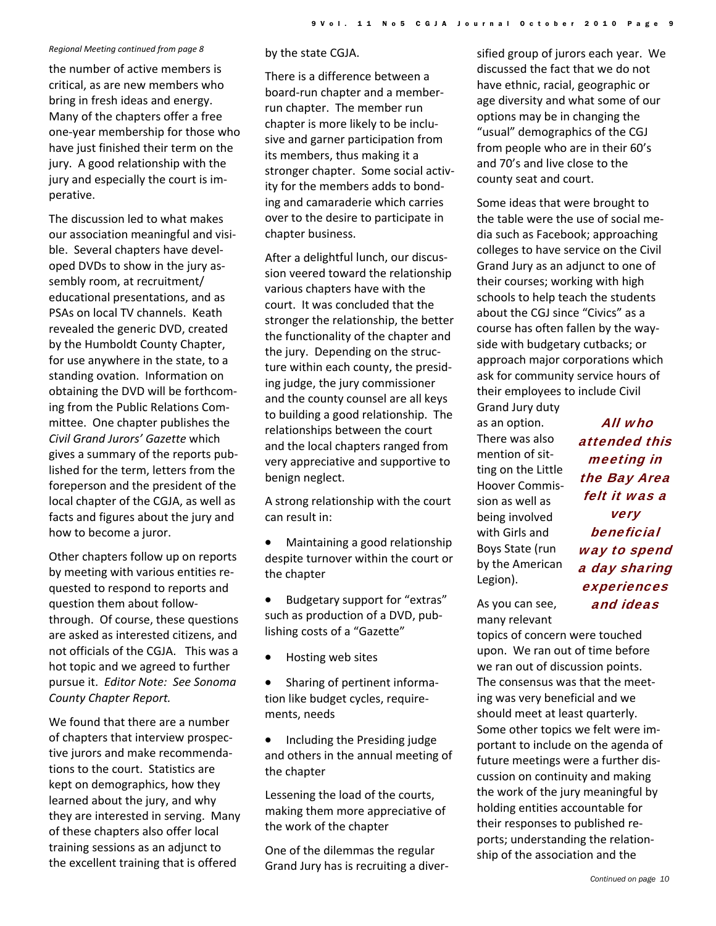#### *Regional Meeting continued from page 8*

the number of active members is critical, as are new members who bring in fresh ideas and energy. Many of the chapters offer a free one‐year membership for those who have just finished their term on the jury. A good relationship with the jury and especially the court is im‐ perative.

The discussion led to what makes our association meaningful and visi‐ ble. Several chapters have devel‐ oped DVDs to show in the jury as‐ sembly room, at recruitment/ educational presentations, and as PSAs on local TV channels. Keath revealed the generic DVD, created by the Humboldt County Chapter, for use anywhere in the state, to a standing ovation. Information on obtaining the DVD will be forthcom‐ ing from the Public Relations Com‐ mittee. One chapter publishes the *Civil Grand Jurors' Gazette* which gives a summary of the reports pub‐ lished for the term, letters from the foreperson and the president of the local chapter of the CGJA, as well as facts and figures about the jury and how to become a juror.

Other chapters follow up on reports by meeting with various entities re‐ quested to respond to reports and question them about follow‐ through. Of course, these questions are asked as interested citizens, and not officials of the CGJA. This was a hot topic and we agreed to further pursue it. *Editor Note: See Sonoma County Chapter Report.*

We found that there are a number of chapters that interview prospec‐ tive jurors and make recommenda‐ tions to the court. Statistics are kept on demographics, how they learned about the jury, and why they are interested in serving. Many of these chapters also offer local training sessions as an adjunct to the excellent training that is offered

by the state CGJA.

There is a difference between a board‐run chapter and a member‐ run chapter. The member run chapter is more likely to be inclu‐ sive and garner participation from its members, thus making it a stronger chapter. Some social activ‐ ity for the members adds to bond‐ ing and camaraderie which carries over to the desire to participate in chapter business.

After a delightful lunch, our discus‐ sion veered toward the relationship various chapters have with the court. It was concluded that the stronger the relationship, the better the functionality of the chapter and the jury. Depending on the struc‐ ture within each county, the presid‐ ing judge, the jury commissioner and the county counsel are all keys to building a good relationship. The relationships between the court and the local chapters ranged from very appreciative and supportive to benign neglect.

A strong relationship with the court can result in:

- Maintaining a good relationship despite turnover within the court or the chapter
- Budgetary support for "extras" such as production of a DVD, pub‐ lishing costs of a "Gazette"
- Hosting web sites
- Sharing of pertinent informa‐ tion like budget cycles, require‐ ments, needs
- Including the Presiding judge and others in the annual meeting of the chapter

Lessening the load of the courts, making them more appreciative of the work of the chapter

One of the dilemmas the regular Grand Jury has is recruiting a diver‐ sified group of jurors each year. We discussed the fact that we do not have ethnic, racial, geographic or age diversity and what some of our options may be in changing the "usual" demographics of the CGJ from people who are in their 60's and 70's and live close to the county seat and court.

Some ideas that were brought to the table were the use of social me‐ dia such as Facebook; approaching colleges to have service on the Civil Grand Jury as an adjunct to one of their courses; working with high schools to help teach the students about the CGJ since "Civics" as a course has often fallen by the way‐ side with budgetary cutbacks; or approach major corporations which ask for community service hours of their employees to include Civil

Grand Jury duty as an option. There was also mention of sit‐ ting on the Little Hoover Commis‐ sion as well as being involved with Girls and Boys State (run by the American Legion).

All who attended this meeting in the Bay Area felt it was a very beneficial way to spend a day sharing experiences and ideas

As you can see, many relevant

topics of concern were touched upon. We ran out of time before we ran out of discussion points. The consensus was that the meet‐ ing was very beneficial and we should meet at least quarterly. Some other topics we felt were im‐ portant to include on the agenda of future meetings were a further dis‐ cussion on continuity and making the work of the jury meaningful by holding entities accountable for their responses to published re‐ ports; understanding the relation‐ ship of the association and the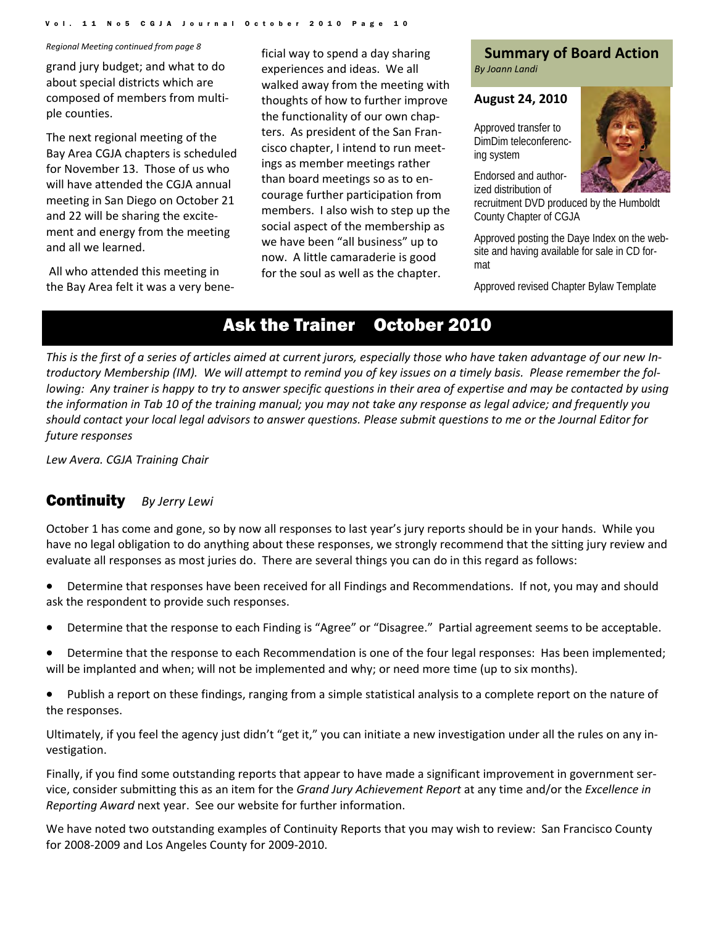#### Vol. 11 No5 CGJA Journal October 2010 Page

about special districts which are composed of members from multi‐ ple counties.

The next regional meeting of the Bay Area CGJA chapters is scheduled for November 13. Those of us who will have attended the CGJA annual meeting in San Diego on October 21 and 22 will be sharing the excite‐ ment and energy from the meeting and all we learned.

All who attended this meeting in the Bay Area felt it was a very bene‐

**Summary of Board Action**<br>grand jury budget; and what to do experiences and ideas. We all By Joann Landi *Regional Meeting continued from page <sup>8</sup>* ficial way to spend a day sharing experiences and ideas. We all walked away from the meeting with thoughts of how to further improve the functionality of our own chap‐ ters. As president of the San Fran‐ cisco chapter, I intend to run meet‐ ings as member meetings rather than board meetings so as to en‐ courage further participation from members. I also wish to step up the social aspect of the membership as we have been "all business" up to now. A little camaraderie is good for the soul as well as the chapter.

#### **August 24, 2010**

Approved transfer to DimDim teleconferencing system

Endorsed and authorized distribution of

recruitment DVD produced by the Humboldt County Chapter of CGJA

Approved posting the Daye Index on the website and having available for sale in CD format

Approved revised Chapter Bylaw Template

#### Ask the Trainer October 2010

This is the first of a series of articles aimed at current jurors, especially those who have taken advantage of our new Introductory Membership (IM). We will attempt to remind you of key issues on a timely basis. Please remember the following: Any trainer is happy to try to answer specific questions in their area of expertise and may be contacted by using the information in Tab 10 of the training manual; you may not take any response as legal advice; and frequently you should contact your local legal advisors to answer questions. Please submit questions to me or the Journal Editor for *future responses*

*Lew Avera. CGJA Training Chair*

#### Continuity *By Jerry Lewi*

October 1 has come and gone, so by now all responses to last year's jury reports should be in your hands. While you have no legal obligation to do anything about these responses, we strongly recommend that the sitting jury review and evaluate all responses as most juries do. There are several things you can do in this regard as follows:

- Determine that responses have been received for all Findings and Recommendations. If not, you may and should ask the respondent to provide such responses.
- Determine that the response to each Finding is "Agree" or "Disagree." Partial agreement seems to be acceptable.
- Determine that the response to each Recommendation is one of the four legal responses: Has been implemented; will be implanted and when; will not be implemented and why; or need more time (up to six months).
- Publish a report on these findings, ranging from a simple statistical analysis to a complete report on the nature of the responses.

Ultimately, if you feel the agency just didn't "get it," you can initiate a new investigation under all the rules on any in‐ vestigation.

Finally, if you find some outstanding reports that appear to have made a significant improvement in government ser‐ vice, consider submitting this as an item for the *Grand Jury Achievement Report* at any time and/or the *Excellence in Reporting Award* next year. See our website for further information.

We have noted two outstanding examples of Continuity Reports that you may wish to review: San Francisco County for 2008‐2009 and Los Angeles County for 2009‐2010.

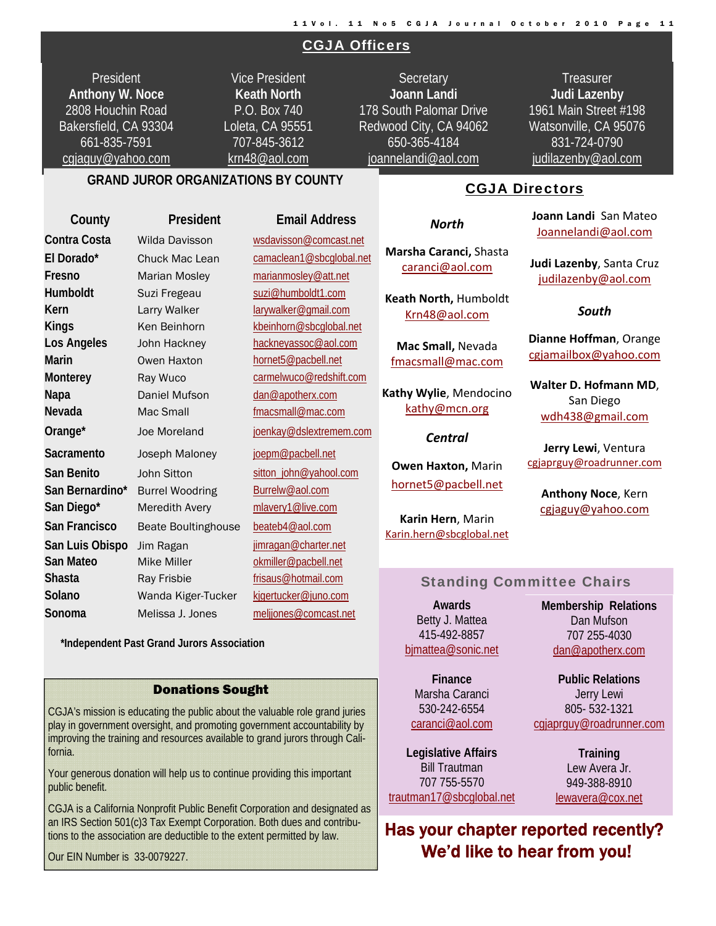#### CGJA Officers

President **Anthony W. Noce**  2808 Houchin Road Bakersfield, CA 93304 661-835-7591 cgjaguy@yahoo.com

Vice President **Keath North**  P.O. Box 740 Loleta, CA 95551 707-845-3612 krn48@aol.com

**Secretary Joann Landi** 178 South Palomar Drive Redwood City, CA 94062 650-365-4184 joannelandi@aol.com

*North*

**Marsha Caranci,** Shasta caranci@aol.com

**Keath North,** Humboldt Krn48@aol.com

**Mac Small,** Nevada fmacsmall@mac.com

**Kathy Wylie**, Mendocino kathy@mcn.org

*Central*

**Owen Haxton,** Marin hornet5@pacbell.net

**Karin Hern**, Marin Karin.hern@sbcglobal.net

**Treasurer Judi Lazenby**  1961 Main Street #198 Watsonville, CA 95076 831-724-0790 judilazenby@aol.com

#### **GRAND JUROR ORGANIZATIONS BY COUNTY**

**County President Email Address Contra Costa** Wilda Davisson wsdavisson@comcast.net **El Dorado\*** Chuck Mac Lean camaclean1@sbcglobal.net **Fresno** Marian Mosley marianmosley@att.net Humboldt Suzi Fregeau suzi@humboldt1.com **Kern** Larry Walker larywalker@gmail.com Kings Ken Beinhorn kbeinhorn@sbcglobal.net Los Angeles John Hackney **hackneyassoc@aol.com Marin Owen Haxton hornet5@pacbell.net Monterey Ray Wuco carmelwuco@redshift.com Napa Daniel Mufson dan@apotherx.com Nevada** Mac Small **Mac** Mac Small **Finall**@mac.com Orange\* Joe Moreland joenkay@dslextremem.com **Sacramento** Joseph Maloney joepm@pacbell.net **San Benito** John Sitton sitton sitton john@yahool.com **San Bernardino\*** Burrel Woodring Burrelw@aol.com San Diego\* Meredith Avery mlavery1@live.com **San Francisco** Beate Boultinghouse beateb4@aol.com San Luis Obispo Jim Ragan **jimragan@charter.net San Mateo** Mike Miller **Mike Miller** okmiller@pacbell.net **Shasta** Ray Frisbie **Frisaus@hotmail.com Solano** Wanda Kiger-Tucker kjgertucker@juno.com **Sonoma** Melissa J. Jones meljjones@comcast.net

 **\*Independent Past Grand Jurors Association**

#### Donations Sought

CGJA's mission is educating the public about the valuable role grand juries play in government oversight, and promoting government accountability by improving the training and resources available to grand jurors through California.

Your generous donation will help us to continue providing this important public benefit.

CGJA is a California Nonprofit Public Benefit Corporation and designated as an IRS Section 501(c)3 Tax Exempt Corporation. Both dues and contributions to the association are deductible to the extent permitted by law.

Our EIN Number is 33-0079227.

#### CGJA Directors

**Joann Landi** San Mateo Joannelandi@aol.com

**Judi Lazenby**, Santa Cruz judilazenby@aol.com

#### *South*

**Dianne Hoffman**, Orange cgjamailbox@yahoo.com

**Walter D. Hofmann MD**, San Diego wdh438@gmail.com

**Jerry Lewi**, Ventura cgjaprguy@roadrunner.com

**Anthony Noce**, Kern cgjaguy@yahoo.com

#### Standing Committee Chairs

**Awards**  Betty J. Mattea 415-492-8857 bjmattea@sonic.net

> **Finance**  530-242-6554

**Legislative Affairs**  Bill Trautman 707 755-5570

**Membership Relations**  Dan Mufson 707 255-4030 dan@apotherx.com

**Public Relations**  Jerry Lewi 805- 532-1321 cgjaprguy@roadrunner.com

> **Training**  Lew Avera Jr. 949-388-8910 lewavera@cox.net

Has your chapter reported recently? We'd like to hear from you!

Marsha Caranci caranci@aol.com

trautman17@sbcglobal.net